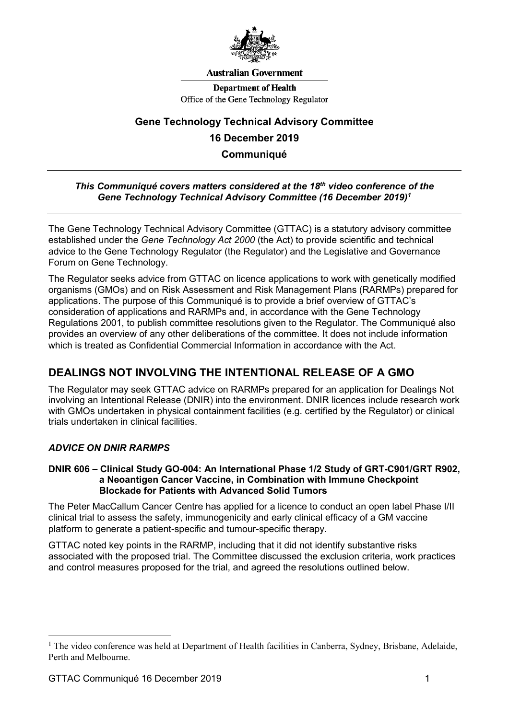

#### **Australian Government**

**Department of Health** Office of the Gene Technology Regulator

# **Gene Technology Technical Advisory Committee 16 December 2019 Communiqué**

#### *This Communiqué covers matters considered at the 18th video conference of the Gene Technology Technical Advisory Committee (16 December 2019)[1](#page-0-0)*

The Gene Technology Technical Advisory Committee (GTTAC) is a statutory advisory committee established under the *Gene Technology Act 2000* (the Act) to provide scientific and technical advice to the Gene Technology Regulator (the Regulator) and the Legislative and Governance Forum on Gene Technology.

The Regulator seeks advice from GTTAC on licence applications to work with genetically modified organisms (GMOs) and on Risk Assessment and Risk Management Plans (RARMPs) prepared for applications. The purpose of this Communiqué is to provide a brief overview of GTTAC's consideration of applications and RARMPs and, in accordance with the Gene Technology Regulations 2001, to publish committee resolutions given to the Regulator. The Communiqué also provides an overview of any other deliberations of the committee. It does not include information which is treated as Confidential Commercial Information in accordance with the Act.

## **DEALINGS NOT INVOLVING THE INTENTIONAL RELEASE OF A GMO**

The Regulator may seek GTTAC advice on RARMPs prepared for an application for Dealings Not involving an Intentional Release (DNIR) into the environment. DNIR licences include research work with GMOs undertaken in physical containment facilities (e.g. certified by the Regulator) or clinical trials undertaken in clinical facilities.

## *ADVICE ON DNIR RARMPS*

#### **DNIR 606 – Clinical Study GO-004: An International Phase 1/2 Study of GRT-C901/GRT R902, a Neoantigen Cancer Vaccine, in Combination with Immune Checkpoint Blockade for Patients with Advanced Solid Tumors**

The Peter MacCallum Cancer Centre has applied for a licence to conduct an open label Phase I/II clinical trial to assess the safety, immunogenicity and early clinical efficacy of a GM vaccine platform to generate a patient-specific and tumour-specific therapy.

GTTAC noted key points in the RARMP, including that it did not identify substantive risks associated with the proposed trial. The Committee discussed the exclusion criteria, work practices and control measures proposed for the trial, and agreed the resolutions outlined below.

<span id="page-0-0"></span><sup>&</sup>lt;sup>1</sup> The video conference was held at Department of Health facilities in Canberra, Sydney, Brisbane, Adelaide, Perth and Melbourne.